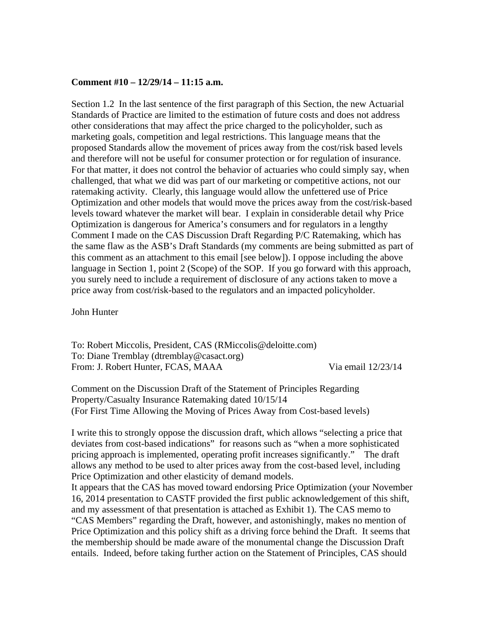## **Comment #10 – 12/29/14 – 11:15 a.m.**

Section 1.2 In the last sentence of the first paragraph of this Section, the new Actuarial Standards of Practice are limited to the estimation of future costs and does not address other considerations that may affect the price charged to the policyholder, such as marketing goals, competition and legal restrictions. This language means that the proposed Standards allow the movement of prices away from the cost/risk based levels and therefore will not be useful for consumer protection or for regulation of insurance. For that matter, it does not control the behavior of actuaries who could simply say, when challenged, that what we did was part of our marketing or competitive actions, not our ratemaking activity. Clearly, this language would allow the unfettered use of Price Optimization and other models that would move the prices away from the cost/risk-based levels toward whatever the market will bear. I explain in considerable detail why Price Optimization is dangerous for America's consumers and for regulators in a lengthy Comment I made on the CAS Discussion Draft Regarding P/C Ratemaking, which has the same flaw as the ASB's Draft Standards (my comments are being submitted as part of this comment as an attachment to this email [see below]). I oppose including the above language in Section 1, point 2 (Scope) of the SOP. If you go forward with this approach, you surely need to include a requirement of disclosure of any actions taken to move a price away from cost/risk-based to the regulators and an impacted policyholder.

John Hunter

To: Robert Miccolis, President, CAS (RMiccolis@deloitte.com) To: Diane Tremblay (dtremblay@casact.org) From: J. Robert Hunter, FCAS, MAAA Via email  $12/23/14$ 

Comment on the Discussion Draft of the Statement of Principles Regarding Property/Casualty Insurance Ratemaking dated 10/15/14 (For First Time Allowing the Moving of Prices Away from Cost-based levels)

I write this to strongly oppose the discussion draft, which allows "selecting a price that deviates from cost-based indications" for reasons such as "when a more sophisticated pricing approach is implemented, operating profit increases significantly." The draft allows any method to be used to alter prices away from the cost-based level, including Price Optimization and other elasticity of demand models.

It appears that the CAS has moved toward endorsing Price Optimization (your November 16, 2014 presentation to CASTF provided the first public acknowledgement of this shift, and my assessment of that presentation is attached as Exhibit 1). The CAS memo to "CAS Members" regarding the Draft, however, and astonishingly, makes no mention of Price Optimization and this policy shift as a driving force behind the Draft. It seems that the membership should be made aware of the monumental change the Discussion Draft entails. Indeed, before taking further action on the Statement of Principles, CAS should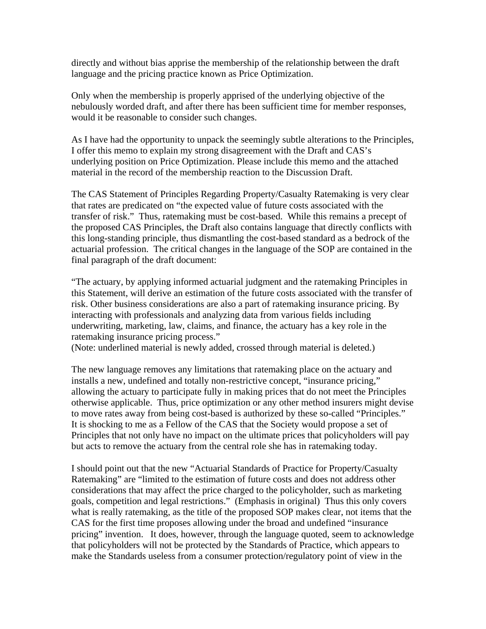directly and without bias apprise the membership of the relationship between the draft language and the pricing practice known as Price Optimization.

Only when the membership is properly apprised of the underlying objective of the nebulously worded draft, and after there has been sufficient time for member responses, would it be reasonable to consider such changes.

As I have had the opportunity to unpack the seemingly subtle alterations to the Principles, I offer this memo to explain my strong disagreement with the Draft and CAS's underlying position on Price Optimization. Please include this memo and the attached material in the record of the membership reaction to the Discussion Draft.

The CAS Statement of Principles Regarding Property/Casualty Ratemaking is very clear that rates are predicated on "the expected value of future costs associated with the transfer of risk." Thus, ratemaking must be cost-based. While this remains a precept of the proposed CAS Principles, the Draft also contains language that directly conflicts with this long-standing principle, thus dismantling the cost-based standard as a bedrock of the actuarial profession. The critical changes in the language of the SOP are contained in the final paragraph of the draft document:

"The actuary, by applying informed actuarial judgment and the ratemaking Principles in this Statement, will derive an estimation of the future costs associated with the transfer of risk. Other business considerations are also a part of ratemaking insurance pricing. By interacting with professionals and analyzing data from various fields including underwriting, marketing, law, claims, and finance, the actuary has a key role in the ratemaking insurance pricing process."

(Note: underlined material is newly added, crossed through material is deleted.)

The new language removes any limitations that ratemaking place on the actuary and installs a new, undefined and totally non-restrictive concept, "insurance pricing," allowing the actuary to participate fully in making prices that do not meet the Principles otherwise applicable. Thus, price optimization or any other method insurers might devise to move rates away from being cost-based is authorized by these so-called "Principles." It is shocking to me as a Fellow of the CAS that the Society would propose a set of Principles that not only have no impact on the ultimate prices that policyholders will pay but acts to remove the actuary from the central role she has in ratemaking today.

I should point out that the new "Actuarial Standards of Practice for Property/Casualty Ratemaking" are "limited to the estimation of future costs and does not address other considerations that may affect the price charged to the policyholder, such as marketing goals, competition and legal restrictions." (Emphasis in original) Thus this only covers what is really ratemaking, as the title of the proposed SOP makes clear, not items that the CAS for the first time proposes allowing under the broad and undefined "insurance pricing" invention. It does, however, through the language quoted, seem to acknowledge that policyholders will not be protected by the Standards of Practice, which appears to make the Standards useless from a consumer protection/regulatory point of view in the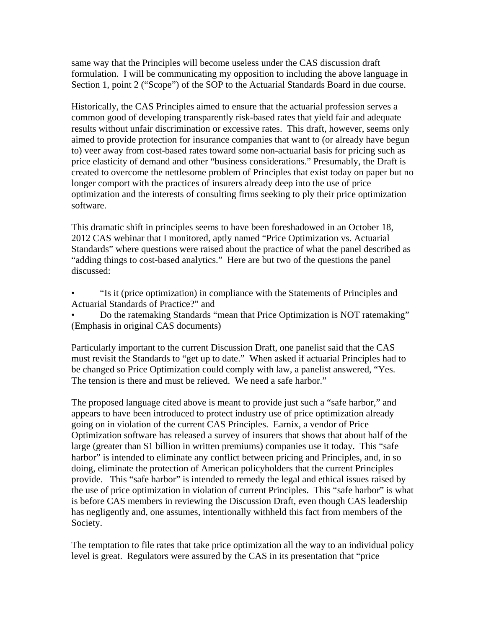same way that the Principles will become useless under the CAS discussion draft formulation. I will be communicating my opposition to including the above language in Section 1, point 2 ("Scope") of the SOP to the Actuarial Standards Board in due course.

Historically, the CAS Principles aimed to ensure that the actuarial profession serves a common good of developing transparently risk-based rates that yield fair and adequate results without unfair discrimination or excessive rates. This draft, however, seems only aimed to provide protection for insurance companies that want to (or already have begun to) veer away from cost-based rates toward some non-actuarial basis for pricing such as price elasticity of demand and other "business considerations." Presumably, the Draft is created to overcome the nettlesome problem of Principles that exist today on paper but no longer comport with the practices of insurers already deep into the use of price optimization and the interests of consulting firms seeking to ply their price optimization software.

This dramatic shift in principles seems to have been foreshadowed in an October 18, 2012 CAS webinar that I monitored, aptly named "Price Optimization vs. Actuarial Standards" where questions were raised about the practice of what the panel described as "adding things to cost-based analytics." Here are but two of the questions the panel discussed:

• "Is it (price optimization) in compliance with the Statements of Principles and Actuarial Standards of Practice?" and

• Do the ratemaking Standards "mean that Price Optimization is NOT ratemaking" (Emphasis in original CAS documents)

Particularly important to the current Discussion Draft, one panelist said that the CAS must revisit the Standards to "get up to date." When asked if actuarial Principles had to be changed so Price Optimization could comply with law, a panelist answered, "Yes. The tension is there and must be relieved. We need a safe harbor."

The proposed language cited above is meant to provide just such a "safe harbor," and appears to have been introduced to protect industry use of price optimization already going on in violation of the current CAS Principles. Earnix, a vendor of Price Optimization software has released a survey of insurers that shows that about half of the large (greater than \$1 billion in written premiums) companies use it today. This "safe harbor" is intended to eliminate any conflict between pricing and Principles, and, in so doing, eliminate the protection of American policyholders that the current Principles provide. This "safe harbor" is intended to remedy the legal and ethical issues raised by the use of price optimization in violation of current Principles. This "safe harbor" is what is before CAS members in reviewing the Discussion Draft, even though CAS leadership has negligently and, one assumes, intentionally withheld this fact from members of the Society.

The temptation to file rates that take price optimization all the way to an individual policy level is great. Regulators were assured by the CAS in its presentation that "price